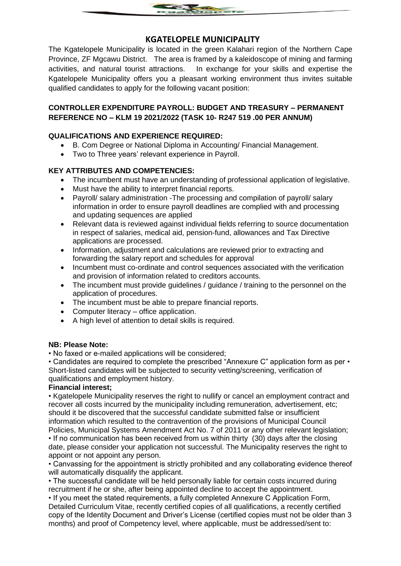

# **KGATELOPELE MUNICIPALITY**

The Kgatelopele Municipality is located in the green Kalahari region of the Northern Cape Province, ZF Mgcawu District. The area is framed by a kaleidoscope of mining and farming activities, and natural tourist attractions. In exchange for your skills and expertise the Kgatelopele Municipality offers you a pleasant working environment thus invites suitable qualified candidates to apply for the following vacant position:

## **CONTROLLER EXPENDITURE PAYROLL: BUDGET AND TREASURY – PERMANENT REFERENCE NO – KLM 19 2021/2022 (TASK 10- R247 519 .00 PER ANNUM)**

## **QUALIFICATIONS AND EXPERIENCE REQUIRED:**

- B. Com Degree or National Diploma in Accounting/ Financial Management.
- Two to Three years' relevant experience in Payroll.

## **KEY ATTRIBUTES AND COMPETENCIES:**

- The incumbent must have an understanding of professional application of legislative.
- Must have the ability to interpret financial reports.
- Payroll/ salary administration -The processing and compilation of payroll/ salary information in order to ensure payroll deadlines are complied with and processing and updating sequences are applied
- Relevant data is reviewed against individual fields referring to source documentation in respect of salaries, medical aid, pension-fund, allowances and Tax Directive applications are processed.
- Information, adjustment and calculations are reviewed prior to extracting and forwarding the salary report and schedules for approval
- Incumbent must co-ordinate and control sequences associated with the verification and provision of information related to creditors accounts.
- The incumbent must provide guidelines / guidance / training to the personnel on the application of procedures.
- The incumbent must be able to prepare financial reports.
- Computer literacy office application.
- A high level of attention to detail skills is required.

#### **NB: Please Note:**

• No faxed or e-mailed applications will be considered;

• Candidates are required to complete the prescribed "Annexure C" application form as per • Short-listed candidates will be subjected to security vetting/screening, verification of qualifications and employment history.

#### **Financial interest;**

• Kgatelopele Municipality reserves the right to nullify or cancel an employment contract and recover all costs incurred by the municipality including remuneration, advertisement, etc; should it be discovered that the successful candidate submitted false or insufficient information which resulted to the contravention of the provisions of Municipal Council

Policies, Municipal Systems Amendment Act No. 7 of 2011 or any other relevant legislation; • If no communication has been received from us within thirty (30) days after the closing date, please consider your application not successful. The Municipality reserves the right to appoint or not appoint any person.

• Canvassing for the appointment is strictly prohibited and any collaborating evidence thereof will automatically disqualify the applicant.

• The successful candidate will be held personally liable for certain costs incurred during recruitment if he or she, after being appointed decline to accept the appointment.

• If you meet the stated requirements, a fully completed Annexure C Application Form, Detailed Curriculum Vitae, recently certified copies of all qualifications, a recently certified copy of the Identity Document and Driver's License (certified copies must not be older than 3 months) and proof of Competency level, where applicable, must be addressed/sent to: